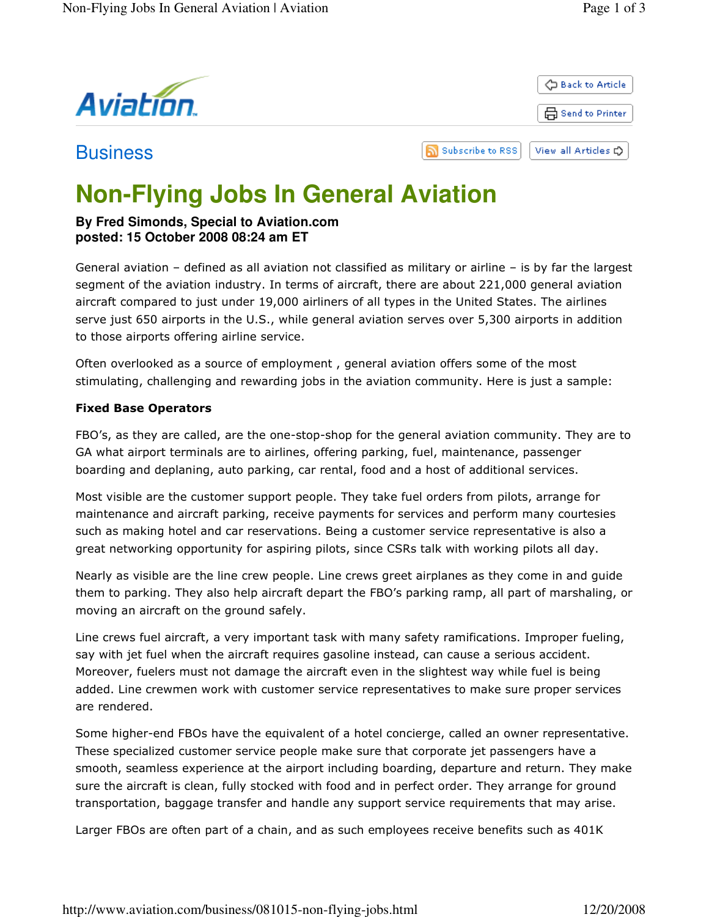

**Business** 



# **Non-Flying Jobs In General Aviation**

## **By Fred Simonds, Special to Aviation.com posted: 15 October 2008 08:24 am ET**

General aviation – defined as all aviation not classified as military or airline – is by far the largest segment of the aviation industry. In terms of aircraft, there are about 221,000 general aviation aircraft compared to just under 19,000 airliners of all types in the United States. The airlines serve just 650 airports in the U.S., while general aviation serves over 5,300 airports in addition to those airports offering airline service.

ה

Often overlooked as a source of employment , general aviation offers some of the most stimulating, challenging and rewarding jobs in the aviation community. Here is just a sample:

## Fixed Base Operators

FBO's, as they are called, are the one-stop-shop for the general aviation community. They are to GA what airport terminals are to airlines, offering parking, fuel, maintenance, passenger boarding and deplaning, auto parking, car rental, food and a host of additional services.

Most visible are the customer support people. They take fuel orders from pilots, arrange for maintenance and aircraft parking, receive payments for services and perform many courtesies such as making hotel and car reservations. Being a customer service representative is also a great networking opportunity for aspiring pilots, since CSRs talk with working pilots all day.

Nearly as visible are the line crew people. Line crews greet airplanes as they come in and guide them to parking. They also help aircraft depart the FBO's parking ramp, all part of marshaling, or moving an aircraft on the ground safely.

Line crews fuel aircraft, a very important task with many safety ramifications. Improper fueling, say with jet fuel when the aircraft requires gasoline instead, can cause a serious accident. Moreover, fuelers must not damage the aircraft even in the slightest way while fuel is being added. Line crewmen work with customer service representatives to make sure proper services are rendered.

Some higher-end FBOs have the equivalent of a hotel concierge, called an owner representative. These specialized customer service people make sure that corporate jet passengers have a smooth, seamless experience at the airport including boarding, departure and return. They make sure the aircraft is clean, fully stocked with food and in perfect order. They arrange for ground transportation, baggage transfer and handle any support service requirements that may arise.

Larger FBOs are often part of a chain, and as such employees receive benefits such as 401K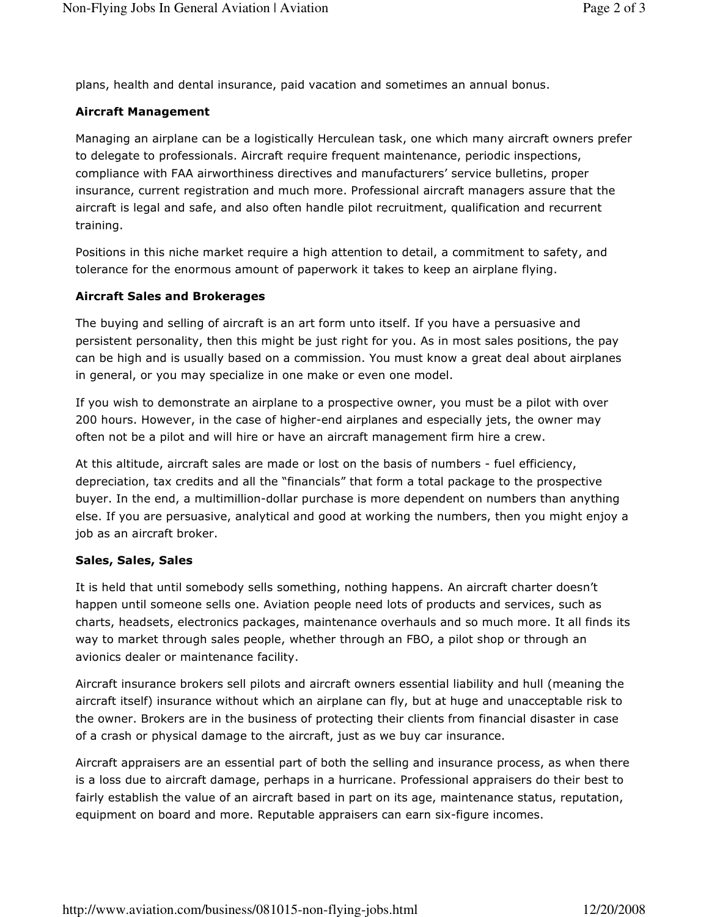plans, health and dental insurance, paid vacation and sometimes an annual bonus.

### Aircraft Management

Managing an airplane can be a logistically Herculean task, one which many aircraft owners prefer to delegate to professionals. Aircraft require frequent maintenance, periodic inspections, compliance with FAA airworthiness directives and manufacturers' service bulletins, proper insurance, current registration and much more. Professional aircraft managers assure that the aircraft is legal and safe, and also often handle pilot recruitment, qualification and recurrent training.

Positions in this niche market require a high attention to detail, a commitment to safety, and tolerance for the enormous amount of paperwork it takes to keep an airplane flying.

#### Aircraft Sales and Brokerages

The buying and selling of aircraft is an art form unto itself. If you have a persuasive and persistent personality, then this might be just right for you. As in most sales positions, the pay can be high and is usually based on a commission. You must know a great deal about airplanes in general, or you may specialize in one make or even one model.

If you wish to demonstrate an airplane to a prospective owner, you must be a pilot with over 200 hours. However, in the case of higher-end airplanes and especially jets, the owner may often not be a pilot and will hire or have an aircraft management firm hire a crew.

At this altitude, aircraft sales are made or lost on the basis of numbers - fuel efficiency, depreciation, tax credits and all the "financials" that form a total package to the prospective buyer. In the end, a multimillion-dollar purchase is more dependent on numbers than anything else. If you are persuasive, analytical and good at working the numbers, then you might enjoy a job as an aircraft broker.

#### Sales, Sales, Sales

It is held that until somebody sells something, nothing happens. An aircraft charter doesn't happen until someone sells one. Aviation people need lots of products and services, such as charts, headsets, electronics packages, maintenance overhauls and so much more. It all finds its way to market through sales people, whether through an FBO, a pilot shop or through an avionics dealer or maintenance facility.

Aircraft insurance brokers sell pilots and aircraft owners essential liability and hull (meaning the aircraft itself) insurance without which an airplane can fly, but at huge and unacceptable risk to the owner. Brokers are in the business of protecting their clients from financial disaster in case of a crash or physical damage to the aircraft, just as we buy car insurance.

Aircraft appraisers are an essential part of both the selling and insurance process, as when there is a loss due to aircraft damage, perhaps in a hurricane. Professional appraisers do their best to fairly establish the value of an aircraft based in part on its age, maintenance status, reputation, equipment on board and more. Reputable appraisers can earn six-figure incomes.